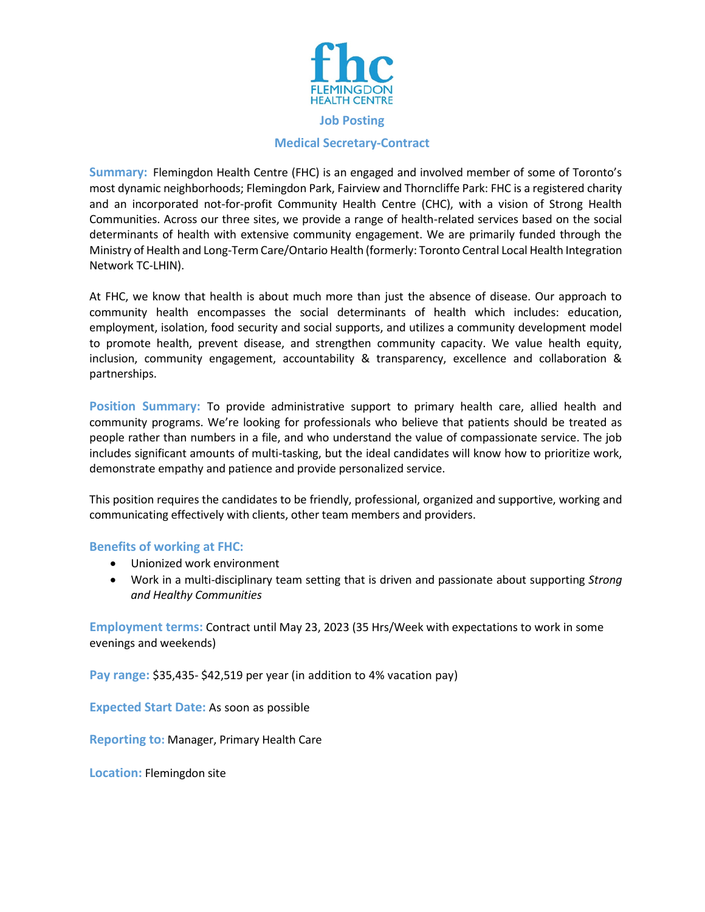

## **Medical Secretary-Contract**

**Summary:** Flemingdon Health Centre (FHC) is an engaged and involved member of some of Toronto's most dynamic neighborhoods; Flemingdon Park, Fairview and Thorncliffe Park: FHC is a registered charity and an incorporated not-for-profit Community Health Centre (CHC), with a vision of Strong Health Communities. Across our three sites, we provide a range of health-related services based on the social determinants of health with extensive community engagement. We are primarily funded through the Ministry of Health and Long-Term Care/Ontario Health (formerly: Toronto Central Local Health Integration Network TC-LHIN).

At FHC, we know that health is about much more than just the absence of disease. Our approach to community health encompasses the social determinants of health which includes: education, employment, isolation, food security and social supports, and utilizes a community development model to promote health, prevent disease, and strengthen community capacity. We value health equity, inclusion, community engagement, accountability & transparency, excellence and collaboration & partnerships.

**Position Summary:** To provide administrative support to primary health care, allied health and community programs. We're looking for professionals who believe that patients should be treated as people rather than numbers in a file, and who understand the value of compassionate service. The job includes significant amounts of multi-tasking, but the ideal candidates will know how to prioritize work, demonstrate empathy and patience and provide personalized service.

This position requires the candidates to be friendly, professional, organized and supportive, working and communicating effectively with clients, other team members and providers.

## **Benefits of working at FHC:**

- Unionized work environment
- Work in a multi-disciplinary team setting that is driven and passionate about supporting *Strong and Healthy Communities*

**Employment terms:** Contract until May 23, 2023 (35 Hrs/Week with expectations to work in some evenings and weekends)

**Pay range:** \$35,435- \$42,519 per year (in addition to 4% vacation pay)

**Expected Start Date:** As soon as possible

**Reporting to:** Manager, Primary Health Care

**Location:** Flemingdon site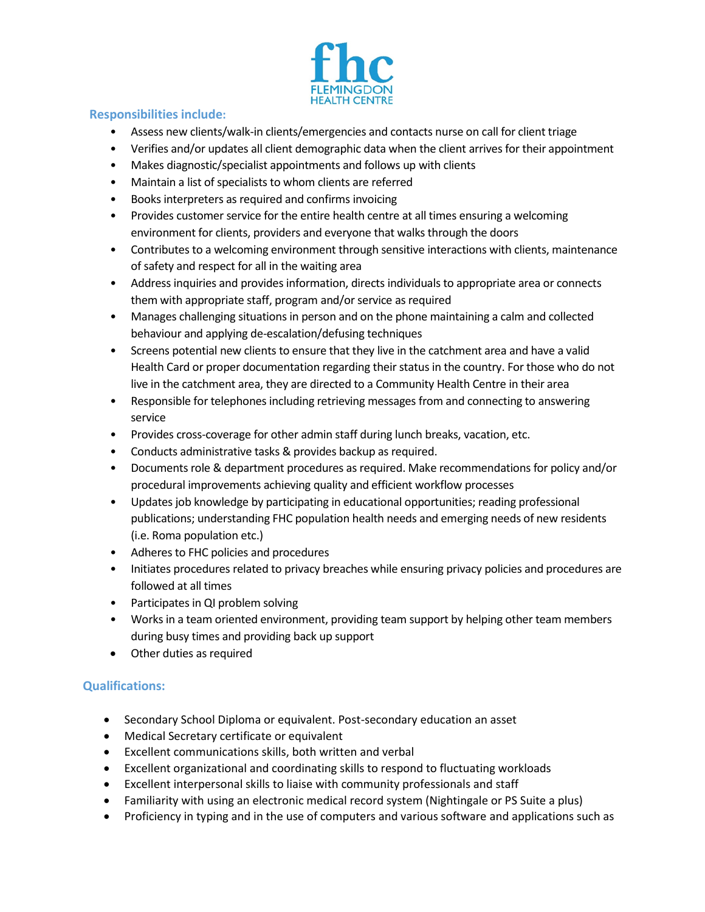

## **Responsibilities include:**

- Assess new clients/walk-in clients/emergencies and contacts nurse on call for client triage
- Verifies and/or updates all client demographic data when the client arrives for their appointment
- Makes diagnostic/specialist appointments and follows up with clients
- Maintain a list of specialists to whom clients are referred
- Books interpreters as required and confirms invoicing
- Provides customer service for the entire health centre at all times ensuring a welcoming environment for clients, providers and everyone that walks through the doors
- Contributes to a welcoming environment through sensitive interactions with clients, maintenance of safety and respect for all in the waiting area
- Address inquiries and provides information, directs individuals to appropriate area or connects them with appropriate staff, program and/or service as required
- Manages challenging situations in person and on the phone maintaining a calm and collected behaviour and applying de-escalation/defusing techniques
- Screens potential new clients to ensure that they live in the catchment area and have a valid Health Card or proper documentation regarding their status in the country. For those who do not live in the catchment area, they are directed to a Community Health Centre in their area
- Responsible for telephones including retrieving messages from and connecting to answering service
- Provides cross-coverage for other admin staff during lunch breaks, vacation, etc.
- Conducts administrative tasks & provides backup as required.
- Documents role & department procedures as required. Make recommendations for policy and/or procedural improvements achieving quality and efficient workflow processes
- Updates job knowledge by participating in educational opportunities; reading professional publications; understanding FHC population health needs and emerging needs of new residents (i.e. Roma population etc.)
- Adheres to FHC policies and procedures
- Initiates procedures related to privacy breaches while ensuring privacy policies and procedures are followed at all times
- Participates in QI problem solving
- Works in a team oriented environment, providing team support by helping other team members during busy times and providing back up support
- Other duties as required

## **Qualifications:**

- Secondary School Diploma or equivalent. Post-secondary education an asset
- Medical Secretary certificate or equivalent
- Excellent communications skills, both written and verbal
- Excellent organizational and coordinating skills to respond to fluctuating workloads
- Excellent interpersonal skills to liaise with community professionals and staff
- Familiarity with using an electronic medical record system (Nightingale or PS Suite a plus)
- Proficiency in typing and in the use of computers and various software and applications such as